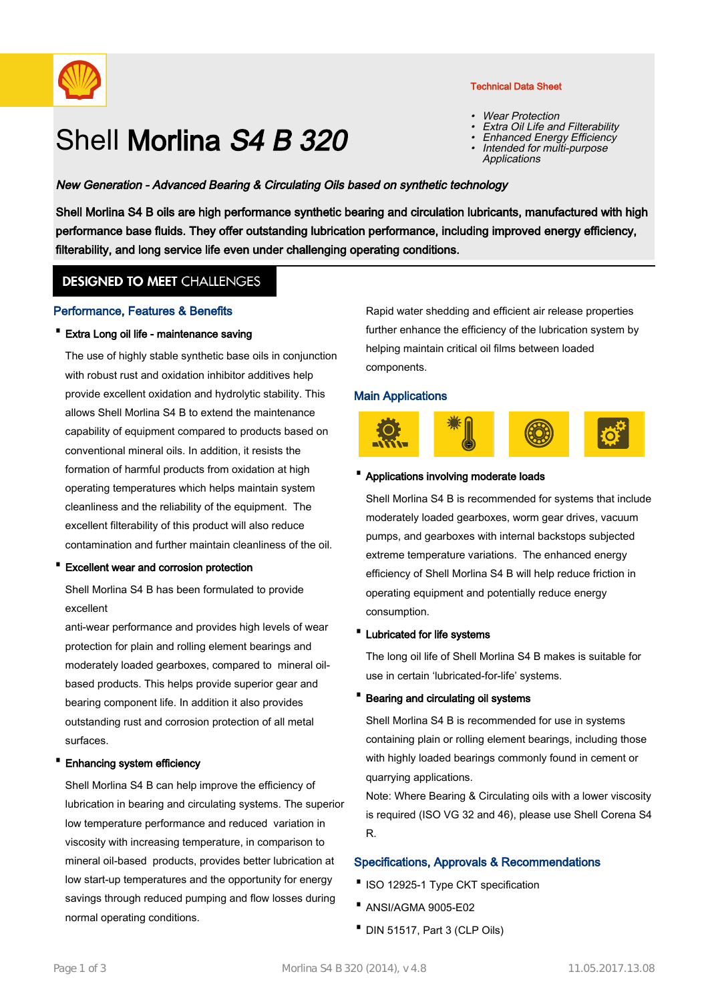

# Shell Morlina S4 B 320

## Technical Data Sheet

- •Wear Protection
- •Extra Oil Life and Filterability
- •Enhanced Energy Efficiency
- Intended for multi-purpose **Applications** •

## New Generation - Advanced Bearing & Circulating Oils based on synthetic technology

Shell Morlina S4 B oils are high performance synthetic bearing and circulation lubricants, manufactured with high performance base fluids. They offer outstanding lubrication performance, including improved energy efficiency, filterability, and long service life even under challenging operating conditions.

# **DESIGNED TO MEET CHALLENGES**

#### Performance, Features & Benefits

· Extra Long oil life - maintenance saving

The use of highly stable synthetic base oils in conjunction with robust rust and oxidation inhibitor additives help provide excellent oxidation and hydrolytic stability. This allows Shell Morlina S4 B to extend the maintenance capability of equipment compared to products based on conventional mineral oils. In addition, it resists the formation of harmful products from oxidation at high operating temperatures which helps maintain system cleanliness and the reliability of the equipment. The excellent filterability of this product will also reduce contamination and further maintain cleanliness of the oil.

· Excellent wear and corrosion protection

Shell Morlina S4 B has been formulated to provide excellent

anti-wear performance and provides high levels of wear protection for plain and rolling element bearings and moderately loaded gearboxes, compared to mineral oilbased products. This helps provide superior gear and bearing component life. In addition it also provides outstanding rust and corrosion protection of all metal surfaces.

#### · Enhancing system efficiency

Shell Morlina S4 B can help improve the efficiency of lubrication in bearing and circulating systems. The superior low temperature performance and reduced variation in viscosity with increasing temperature, in comparison to mineral oil-based products, provides better lubrication at low start-up temperatures and the opportunity for energy savings through reduced pumping and flow losses during normal operating conditions.

Rapid water shedding and efficient air release properties further enhance the efficiency of the lubrication system by helping maintain critical oil films between loaded components.

#### Main Applications



#### · Applications involving moderate loads

Shell Morlina S4 B is recommended for systems that include moderately loaded gearboxes, worm gear drives, vacuum pumps, and gearboxes with internal backstops subjected extreme temperature variations. The enhanced energy efficiency of Shell Morlina S4 B will help reduce friction in operating equipment and potentially reduce energy consumption.

#### · Lubricated for life systems

The long oil life of Shell Morlina S4 B makes is suitable for use in certain 'lubricated-for-life' systems.

#### · Bearing and circulating oil systems

Shell Morlina S4 B is recommended for use in systems containing plain or rolling element bearings, including those with highly loaded bearings commonly found in cement or quarrying applications.

Note: Where Bearing & Circulating oils with a lower viscosity is required (ISO VG 32 and 46), please use Shell Corena S4 R.

#### Specifications, Approvals & Recommendations

- ·ISO 12925-1 Type CKT specification
- · ANSI/AGMA 9005-E02
- · DIN 51517, Part 3 (CLP Oils)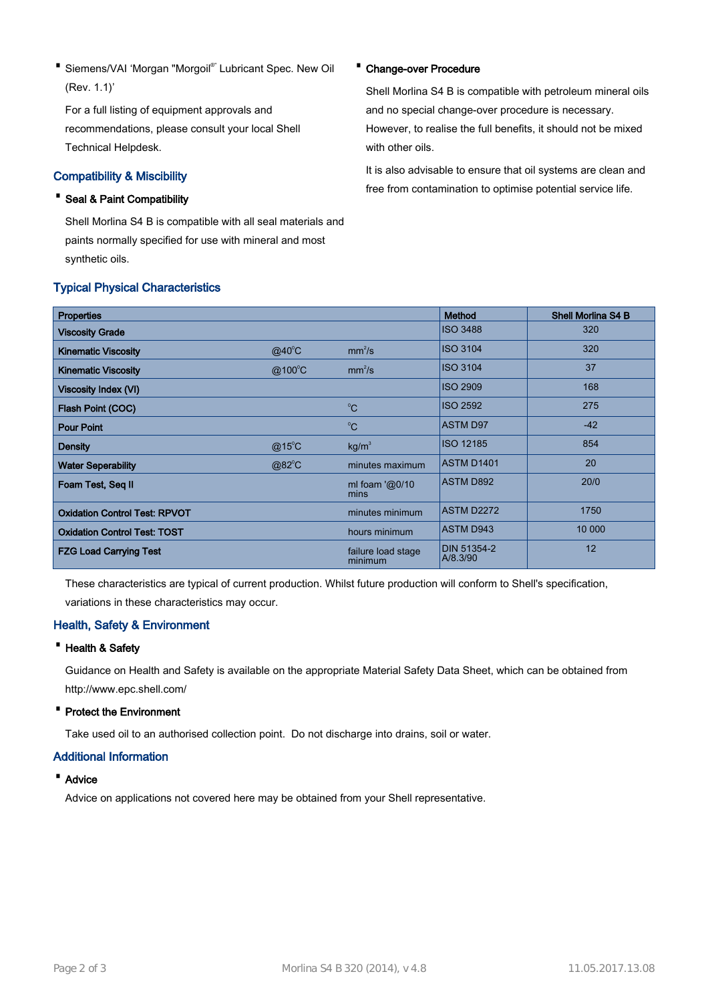• Siemens/VAI 'Morgan "Morgoil<sup>®</sup>' Lubricant Spec. New Oil (Rev. 1.1)'

For a full listing of equipment approvals and recommendations, please consult your local Shell Technical Helpdesk.

## Compatibility & Miscibility

# · Seal & Paint Compatibility

Shell Morlina S4 B is compatible with all seal materials and paints normally specified for use with mineral and most synthetic oils.

## Typical Physical Characteristics

#### · Change-over Procedure

Shell Morlina S4 B is compatible with petroleum mineral oils and no special change-over procedure is necessary. However, to realise the full benefits, it should not be mixed with other oils.

It is also advisable to ensure that oil systems are clean and free from contamination to optimise potential service life.

| <b>Properties</b>                    |                  |                               | Method                         | <b>Shell Morlina S4 B</b> |
|--------------------------------------|------------------|-------------------------------|--------------------------------|---------------------------|
| <b>Viscosity Grade</b>               |                  |                               | <b>ISO 3488</b>                | 320                       |
| <b>Kinematic Viscosity</b>           | $@40^{\circ}$ C  | mm <sup>2</sup> /s            | <b>ISO 3104</b>                | 320                       |
| <b>Kinematic Viscosity</b>           | $@100^{\circ}$ C | mm <sup>2</sup> /s            | <b>ISO 3104</b>                | 37                        |
| Viscosity Index (VI)                 |                  |                               | <b>ISO 2909</b>                | 168                       |
| Flash Point (COC)                    |                  | $^{\circ}C$                   | <b>ISO 2592</b>                | 275                       |
| <b>Pour Point</b>                    |                  | $^{\circ}C$                   | <b>ASTM D97</b>                | $-42$                     |
| <b>Density</b>                       | $@15^{\circ}$ C  | kg/m <sup>3</sup>             | <b>ISO 12185</b>               | 854                       |
| <b>Water Seperability</b>            | @82°C            | minutes maximum               | <b>ASTM D1401</b>              | 20                        |
| Foam Test, Seq II                    |                  | ml foam ' $@0/10$<br>mins     | <b>ASTM D892</b>               | 20/0                      |
| <b>Oxidation Control Test: RPVOT</b> |                  | minutes minimum               | <b>ASTM D2272</b>              | 1750                      |
| <b>Oxidation Control Test: TOST</b>  |                  | hours minimum                 | <b>ASTM D943</b>               | 10 000                    |
| <b>FZG Load Carrying Test</b>        |                  | failure load stage<br>minimum | <b>DIN 51354-2</b><br>A/8.3/90 | 12                        |

These characteristics are typical of current production. Whilst future production will conform to Shell's specification, variations in these characteristics may occur.

# Health, Safety & Environment

#### · Health & Safety

Guidance on Health and Safety is available on the appropriate Material Safety Data Sheet, which can be obtained from http://www.epc.shell.com/

### · Protect the Environment

Take used oil to an authorised collection point. Do not discharge into drains, soil or water.

### Additional Information

## · Advice

Advice on applications not covered here may be obtained from your Shell representative.